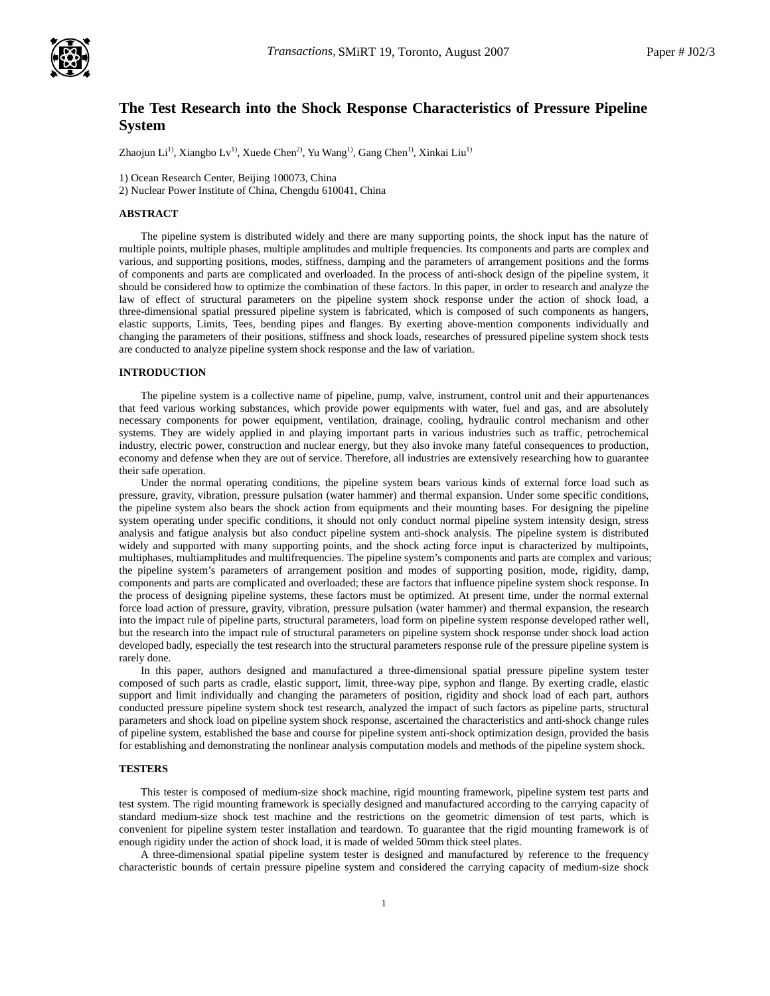

# **The Test Research into the Shock Response Characteristics of Pressure Pipeline System**

Zhaojun Li<sup>1)</sup>, Xiangbo Lv<sup>1)</sup>, Xuede Chen<sup>2)</sup>, Yu Wang<sup>1)</sup>, Gang Chen<sup>1)</sup>, Xinkai Liu<sup>1)</sup>

1) Ocean Research Center, Beijing 100073, China

2) Nuclear Power Institute of China, Chengdu 610041, China

## **ABSTRACT**

The pipeline system is distributed widely and there are many supporting points, the shock input has the nature of multiple points, multiple phases, multiple amplitudes and multiple frequencies. Its components and parts are complex and various, and supporting positions, modes, stiffness, damping and the parameters of arrangement positions and the forms of components and parts are complicated and overloaded. In the process of anti-shock design of the pipeline system, it should be considered how to optimize the combination of these factors. In this paper, in order to research and analyze the law of effect of structural parameters on the pipeline system shock response under the action of shock load, a three-dimensional spatial pressured pipeline system is fabricated, which is composed of such components as hangers, elastic supports, Limits, Tees, bending pipes and flanges. By exerting above-mention components individually and changing the parameters of their positions, stiffness and shock loads, researches of pressured pipeline system shock tests are conducted to analyze pipeline system shock response and the law of variation.

## **INTRODUCTION**

The pipeline system is a collective name of pipeline, pump, valve, instrument, control unit and their appurtenances that feed various working substances, which provide power equipments with water, fuel and gas, and are absolutely necessary components for power equipment, ventilation, drainage, cooling, hydraulic control mechanism and other systems. They are widely applied in and playing important parts in various industries such as traffic, petrochemical industry, electric power, construction and nuclear energy, but they also invoke many fateful consequences to production, economy and defense when they are out of service. Therefore, all industries are extensively researching how to guarantee their safe operation.

Under the normal operating conditions, the pipeline system bears various kinds of external force load such as pressure, gravity, vibration, pressure pulsation (water hammer) and thermal expansion. Under some specific conditions, the pipeline system also bears the shock action from equipments and their mounting bases. For designing the pipeline system operating under specific conditions, it should not only conduct normal pipeline system intensity design, stress analysis and fatigue analysis but also conduct pipeline system anti-shock analysis. The pipeline system is distributed widely and supported with many supporting points, and the shock acting force input is characterized by multipoints, multiphases, multiamplitudes and multifrequencies. The pipeline system's components and parts are complex and various; the pipeline system's parameters of arrangement position and modes of supporting position, mode, rigidity, damp, components and parts are complicated and overloaded; these are factors that influence pipeline system shock response. In the process of designing pipeline systems, these factors must be optimized. At present time, under the normal external force load action of pressure, gravity, vibration, pressure pulsation (water hammer) and thermal expansion, the research into the impact rule of pipeline parts, structural parameters, load form on pipeline system response developed rather well, but the research into the impact rule of structural parameters on pipeline system shock response under shock load action developed badly, especially the test research into the structural parameters response rule of the pressure pipeline system is rarely done.

In this paper, authors designed and manufactured a three-dimensional spatial pressure pipeline system tester composed of such parts as cradle, elastic support, limit, three-way pipe, syphon and flange. By exerting cradle, elastic support and limit individually and changing the parameters of position, rigidity and shock load of each part, authors conducted pressure pipeline system shock test research, analyzed the impact of such factors as pipeline parts, structural parameters and shock load on pipeline system shock response, ascertained the characteristics and anti-shock change rules of pipeline system, established the base and course for pipeline system anti-shock optimization design, provided the basis for establishing and demonstrating the nonlinear analysis computation models and methods of the pipeline system shock.

#### **TESTERS**

This tester is composed of medium-size shock machine, rigid mounting framework, pipeline system test parts and test system. The rigid mounting framework is specially designed and manufactured according to the carrying capacity of standard medium-size shock test machine and the restrictions on the geometric dimension of test parts, which is convenient for pipeline system tester installation and teardown. To guarantee that the rigid mounting framework is of enough rigidity under the action of shock load, it is made of welded 50mm thick steel plates.

A three-dimensional spatial pipeline system tester is designed and manufactured by reference to the frequency characteristic bounds of certain pressure pipeline system and considered the carrying capacity of medium-size shock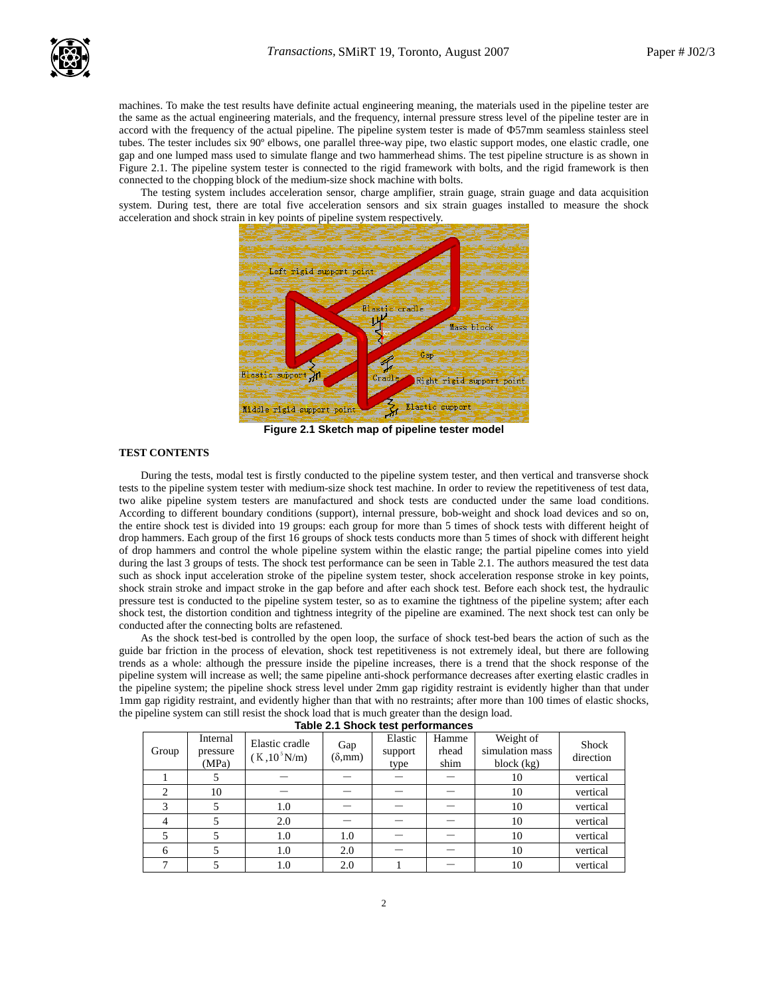

machines. To make the test results have definite actual engineering meaning, the materials used in the pipeline tester are the same as the actual engineering materials, and the frequency, internal pressure stress level of the pipeline tester are in accord with the frequency of the actual pipeline. The pipeline system tester is made of Ф57mm seamless stainless steel tubes. The tester includes six 90º elbows, one parallel three-way pipe, two elastic support modes, one elastic cradle, one gap and one lumped mass used to simulate flange and two hammerhead shims. The test pipeline structure is as shown in Figure 2.1. The pipeline system tester is connected to the rigid framework with bolts, and the rigid framework is then connected to the chopping block of the medium-size shock machine with bolts.

The testing system includes acceleration sensor, charge amplifier, strain guage, strain guage and data acquisition system. During test, there are total five acceleration sensors and six strain guages installed to measure the shock acceleration and shock strain in key points of pipeline system respectively.



**Figure 2.1 Sketch map of pipeline tester model** 

# **TEST CONTENTS**

During the tests, modal test is firstly conducted to the pipeline system tester, and then vertical and transverse shock tests to the pipeline system tester with medium-size shock test machine. In order to review the repetitiveness of test data, two alike pipeline system testers are manufactured and shock tests are conducted under the same load conditions. According to different boundary conditions (support), internal pressure, bob-weight and shock load devices and so on, the entire shock test is divided into 19 groups: each group for more than 5 times of shock tests with different height of drop hammers. Each group of the first 16 groups of shock tests conducts more than 5 times of shock with different height of drop hammers and control the whole pipeline system within the elastic range; the partial pipeline comes into yield during the last 3 groups of tests. The shock test performance can be seen in Table 2.1. The authors measured the test data such as shock input acceleration stroke of the pipeline system tester, shock acceleration response stroke in key points, shock strain stroke and impact stroke in the gap before and after each shock test. Before each shock test, the hydraulic pressure test is conducted to the pipeline system tester, so as to examine the tightness of the pipeline system; after each shock test, the distortion condition and tightness integrity of the pipeline are examined. The next shock test can only be conducted after the connecting bolts are refastened.

As the shock test-bed is controlled by the open loop, the surface of shock test-bed bears the action of such as the guide bar friction in the process of elevation, shock test repetitiveness is not extremely ideal, but there are following trends as a whole: although the pressure inside the pipeline increases, there is a trend that the shock response of the pipeline system will increase as well; the same pipeline anti-shock performance decreases after exerting elastic cradles in the pipeline system; the pipeline shock stress level under 2mm gap rigidity restraint is evidently higher than that under 1mm gap rigidity restraint, and evidently higher than that with no restraints; after more than 100 times of elastic shocks, the pipeline system can still resist the shock load that is much greater than the design load.

| Table 2.1 Shock test performances |                               |                                   |                              |                            |                        |                                            |                           |  |  |  |  |
|-----------------------------------|-------------------------------|-----------------------------------|------------------------------|----------------------------|------------------------|--------------------------------------------|---------------------------|--|--|--|--|
| Group                             | Internal<br>pressure<br>(MPa) | Elastic cradle<br>$(K, 10^5 N/m)$ | Gap<br>$(\delta, \text{mm})$ | Elastic<br>support<br>type | Hamme<br>rhead<br>shim | Weight of<br>simulation mass<br>block (kg) | <b>Shock</b><br>direction |  |  |  |  |
|                                   |                               |                                   |                              |                            |                        | 10                                         | vertical                  |  |  |  |  |
| $\mathcal{D}_{\mathcal{L}}$       | 10                            |                                   |                              |                            |                        | 10                                         | vertical                  |  |  |  |  |
| 3                                 |                               | 1.0                               |                              |                            |                        | 10                                         | vertical                  |  |  |  |  |
| 4                                 |                               | 2.0                               |                              |                            |                        | 10                                         | vertical                  |  |  |  |  |
| 5                                 |                               | 1.0                               | 1.0                          |                            |                        | 10                                         | vertical                  |  |  |  |  |
| 6                                 |                               | 1.0                               | 2.0                          |                            |                        | 10                                         | vertical                  |  |  |  |  |
|                                   |                               | 1.0                               | 2.0                          |                            |                        | 10                                         | vertical                  |  |  |  |  |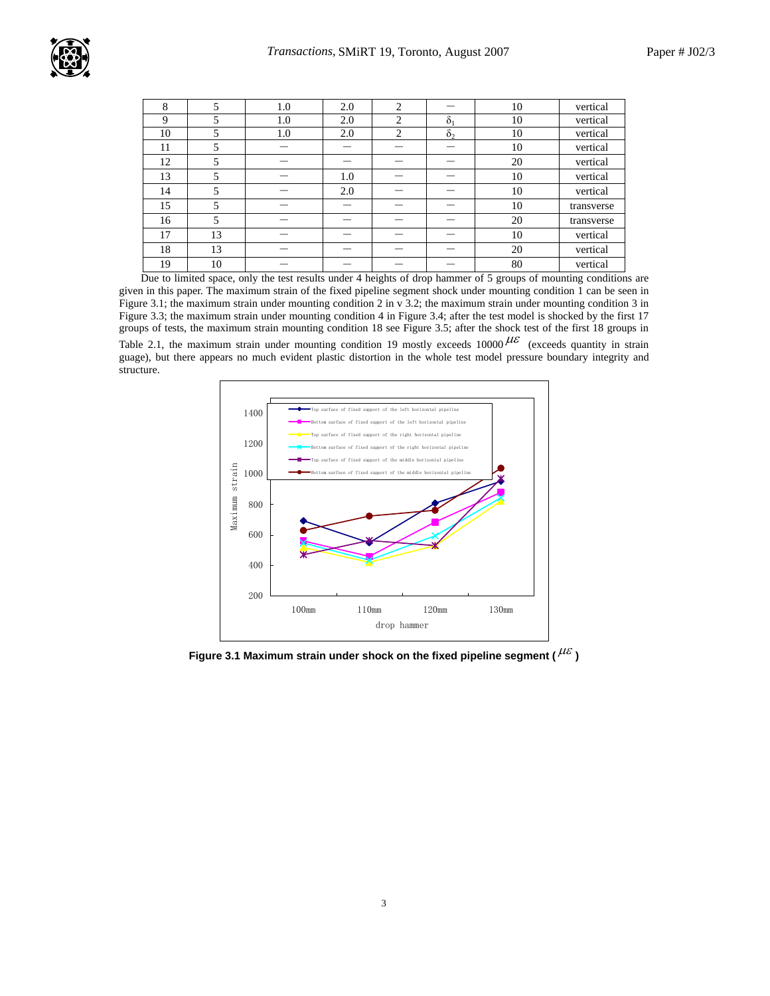

| 8  | 5  | 1.0 | 2.0 | 2              |            | 10 | vertical   |
|----|----|-----|-----|----------------|------------|----|------------|
| 9  | 5  | 1.0 | 2.0 | 2              | $\delta_1$ | 10 | vertical   |
| 10 | 5  | 1.0 | 2.0 | $\overline{c}$ | $\delta_2$ | 10 | vertical   |
| 11 | 5  |     |     |                |            | 10 | vertical   |
| 12 | 5  |     |     |                |            | 20 | vertical   |
| 13 | 5  |     | 1.0 |                |            | 10 | vertical   |
| 14 | 5  |     | 2.0 |                |            | 10 | vertical   |
| 15 | 5  |     |     |                |            | 10 | transverse |
| 16 | 5  |     |     |                |            | 20 | transverse |
| 17 | 13 |     |     |                |            | 10 | vertical   |
| 18 | 13 |     |     |                |            | 20 | vertical   |
| 19 | 10 |     |     |                |            | 80 | vertical   |

Due to limited space, only the test results under 4 heights of drop hammer of 5 groups of mounting conditions are given in this paper. The maximum strain of the fixed pipeline segment shock under mounting condition 1 can be seen in Figure 3.1; the maximum strain under mounting condition 2 in v 3.2; the maximum strain under mounting condition 3 in Figure 3.3; the maximum strain under mounting condition 4 in Figure 3.4; after the test model is shocked by the first 17 groups of tests, the maximum strain mounting condition 18 see Figure 3.5; after the shock test of the first 18 groups in Table 2.1, the maximum strain under mounting condition 19 mostly exceeds 10000  $\mu \varepsilon$  (exceeds quantity in strain guage), but there appears no much evident plastic distortion in the whole test model pressure boundary integrity and structure.



Figure 3.1 Maximum strain under shock on the fixed pipeline segment ( $^{\mu\varepsilon}$ )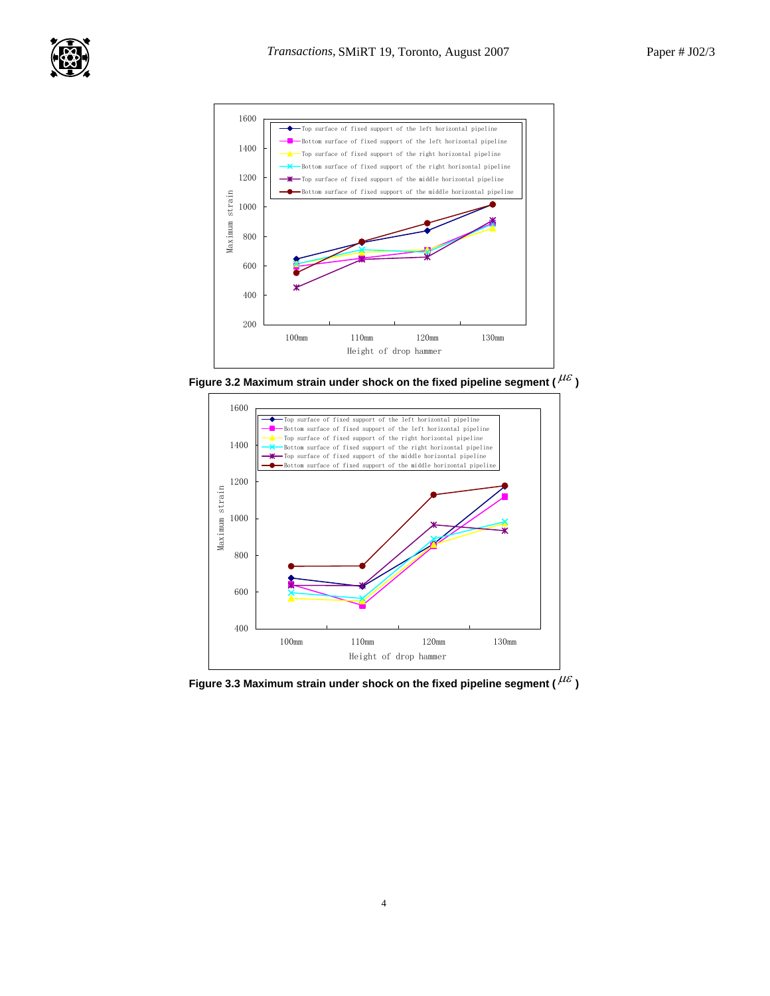



**Figure 3.2 Maximum strain under shock on the fixed pipeline segment (** $^{\mu\varepsilon}$ **)** 



**Figure 3.3 Maximum strain under shock on the fixed pipeline segment (** $^{\mu\varepsilon}$ **)**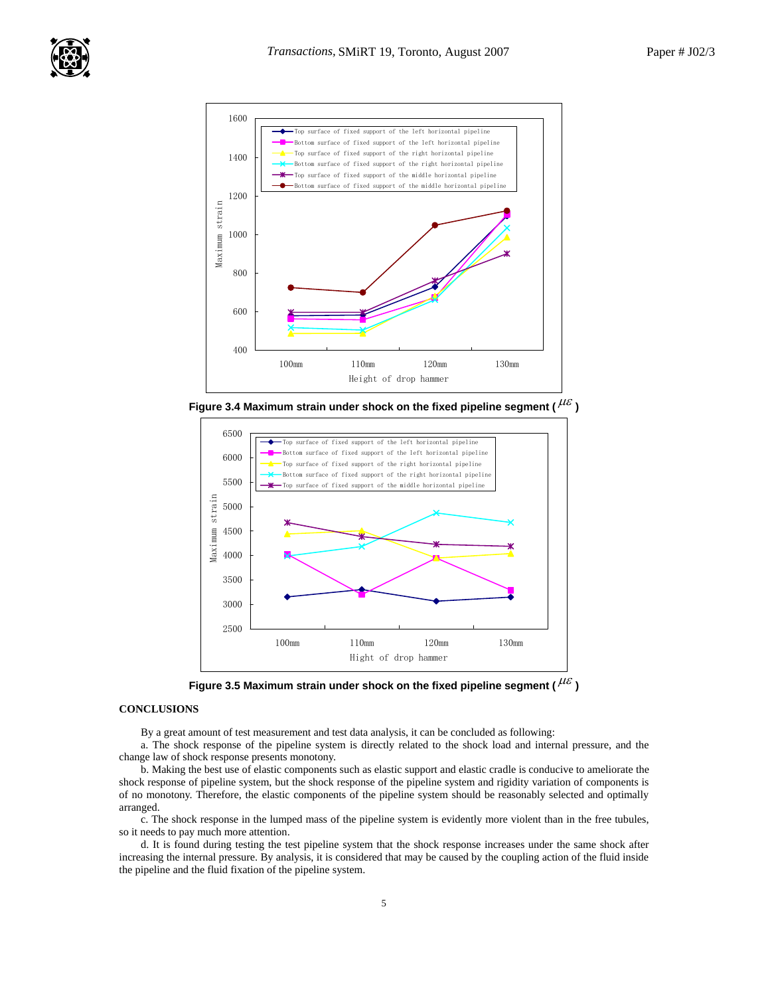

Figure 3.4 Maximum strain under shock on the fixed pipeline segment ( $^{\mu\varepsilon}$ )



Figure 3.5 Maximum strain under shock on the fixed pipeline segment ( $^{\mu\varepsilon}$ )

#### **CONCLUSIONS**

By a great amount of test measurement and test data analysis, it can be concluded as following:

a. The shock response of the pipeline system is directly related to the shock load and internal pressure, and the change law of shock response presents monotony.

b. Making the best use of elastic components such as elastic support and elastic cradle is conducive to ameliorate the shock response of pipeline system, but the shock response of the pipeline system and rigidity variation of components is of no monotony. Therefore, the elastic components of the pipeline system should be reasonably selected and optimally arranged.

c. The shock response in the lumped mass of the pipeline system is evidently more violent than in the free tubules, so it needs to pay much more attention.

d. It is found during testing the test pipeline system that the shock response increases under the same shock after increasing the internal pressure. By analysis, it is considered that may be caused by the coupling action of the fluid inside the pipeline and the fluid fixation of the pipeline system.